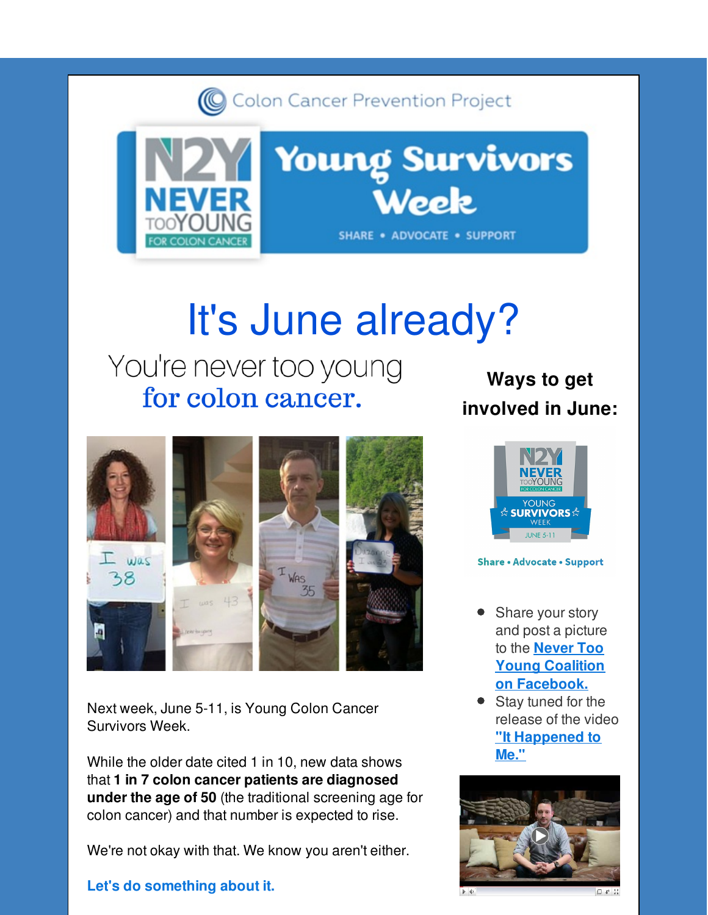Colon Cancer Prevention Project



# It's June already?

# You're never too young for colon cancer.



Next week, June 5-11, is Young Colon Cancer Survivors Week.

While the older date cited 1 in 10, new data shows that **1 in 7 colon cancer patients are diagnosed under the age of 50** (the traditional screening age for colon cancer) and that number is expected to rise.

We're not okay with that. We know you aren't either.

#### **Let's do something about it.**

### **Ways to get involved in June:**



#### **Share · Advocate · Support**

- Share your story and post a picture to the **Never Too Young Coalition on [Facebook.](http://r20.rs6.net/tn.jsp?f=001osQkGRFAGfzYU8UPs5oNiwkvfuvU25B4wvUvx5KA6UWFCJzni8UmYuZsBBZ9o0D78RjH6bUX3oO8fhRn7lI5kT1APCQxs0y_wyP6xFABi3JpLGe5ORA6U67-cPc_iRdz3dRP5NC8X41aAHBgrpgdnx_5eM9UzwZ4745RADqsgDWl8uc8dxaGN4VBCQ-ZKfp66fHc_LSiUfOnjjhRcV_dqA==&c=&ch=)**
- Stay tuned for the release of the video **"It [Happened](http://r20.rs6.net/tn.jsp?f=001osQkGRFAGfzYU8UPs5oNiwkvfuvU25B4wvUvx5KA6UWFCJzni8UmYuZsBBZ9o0D7XBDoB-qomHL5quAujo0ue7ervzbUUSfYAToG-NygkjM6VSIjMUpkXSjxiAJzqjn2vUPK4tikETICzgcoompHh6nwJjuhKyKvuyPvllc1RAXbooxiE2lgzp4G-9N2Vn_Qj5eRorI35N4=&c=&ch=) to Me."**

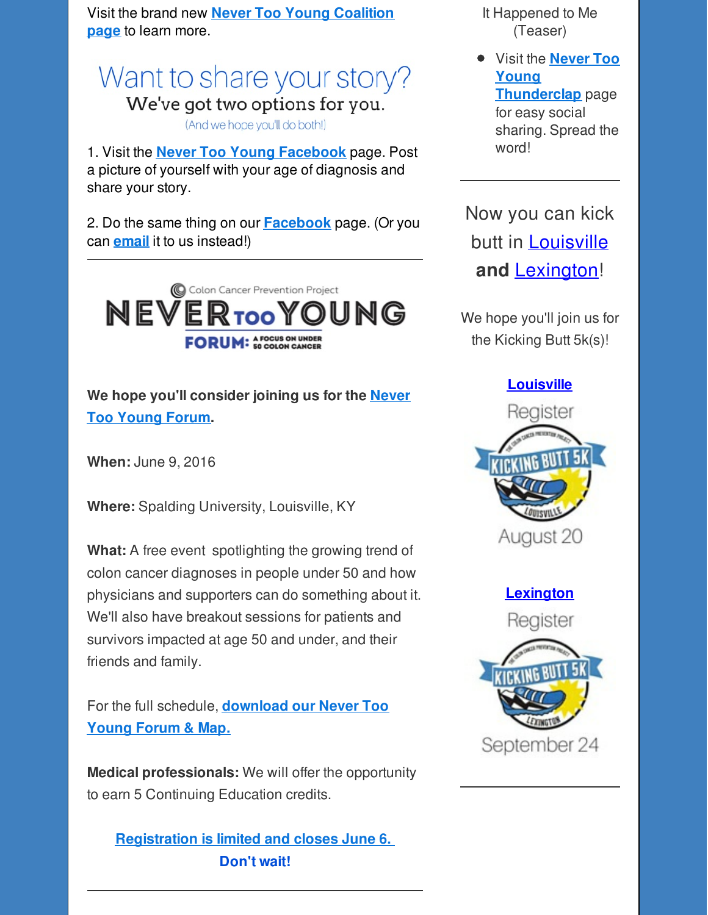Visit the brand new **Never Too Young [Coalition](http://r20.rs6.net/tn.jsp?f=001osQkGRFAGfzYU8UPs5oNiwkvfuvU25B4wvUvx5KA6UWFCJzni8UmYuZsBBZ9o0D7FX5PW7asKzglIilQhC0nOS7VSrlpEZMcwYP5oPQJ4b9tRclWL0wy3WSOd-oWvFUCU1U_Kg9z4F8RM-7NZc6wUcf28y1R5A4ZRO_MCnjq_qg=&c=&ch=) page** to learn more.

Want to share your story? We've got two options for you. (And we hope you'll do both!)

1. Visit the **Never Too Young [Facebook](http://r20.rs6.net/tn.jsp?f=001osQkGRFAGfzYU8UPs5oNiwkvfuvU25B4wvUvx5KA6UWFCJzni8UmYuZsBBZ9o0D78RjH6bUX3oO8fhRn7lI5kT1APCQxs0y_wyP6xFABi3JpLGe5ORA6U67-cPc_iRdz3dRP5NC8X41aAHBgrpgdnx_5eM9UzwZ4745RADqsgDWl8uc8dxaGN4VBCQ-ZKfp66fHc_LSiUfOnjjhRcV_dqA==&c=&ch=)** page. Post a picture of yourself with your age of diagnosis and share your story.

2. Do the same thing on our **[Facebook](http://r20.rs6.net/tn.jsp?f=001osQkGRFAGfzYU8UPs5oNiwkvfuvU25B4wvUvx5KA6UWFCJzni8UmYolsevnnrLHNrT_QwxP323TJ5xkXIsTHvxT96GvelJo0eTLr1Da3nutnQEMSihZQtkbeTfGKq5-DeWl0mb0XtLGGfIFzSLnwOF8KnP69hz0qOO4cSDFew7IdVVAJWAOyiyVJqbFDdACmcoLST-4fqGw=&c=&ch=)** page. (Or you can **[email](mailto:kpilkington@kickingbutt.org?subject=My Never Too Young Story)** it to us instead!)



**We hope you'll [consider](http://r20.rs6.net/tn.jsp?f=001osQkGRFAGfzYU8UPs5oNiwkvfuvU25B4wvUvx5KA6UWFCJzni8UmYkN92KQdQaWeq_zK3gzowa3fjLEH7-WGuuvSrQykKdzIq8198woh3sl9fhbScMUJgDoNBC4UtHTQtPrKseQ7JoUFuhN8CnkdUMxHFL35Z6Ic4yklcfaBea5iA_j75LHxv3mUR8F4HYOTY1BD0YsaVTYbh9fkafIIunW105Ud0t-9Sti62NjVZAg=&c=&ch=) joining us for the Never Too Young Forum.**

**When:** June 9, 2016

**Where:** Spalding University, Louisville, KY

**What:** A free event spotlighting the growing trend of colon cancer diagnoses in people under 50 and how physicians and supporters can do something about it. We'll also have breakout sessions for patients and survivors impacted at age 50 and under, and their friends and family.

For the full schedule, **[download](http://r20.rs6.net/tn.jsp?f=001osQkGRFAGfzYU8UPs5oNiwkvfuvU25B4wvUvx5KA6UWFCJzni8UmYuZsBBZ9o0D7wr6HvelhWg_8W8wa48ay3iM4EjX51K5Q2R9lqigBChPtpAZp0lLxf9KrazTtKLK4fVZM_jDtCZ4gcjzmVYIQTQZjMsKo2n-DOOHCfpupsIMu-iczhzE0cCT0e6afm8c7S3kIe_rZAw5BUYxi-5jSR93yu0kLXCdZJc7Borxr3w84HbE1t8cXiBcFUOh8uZ3JMna9afz3adKjM-o2D3IknYu8Nd9ETZnP&c=&ch=) our Never Too Young Forum & Map.**

**Medical professionals:** We will offer the opportunity to earn 5 Continuing Education credits.

**[Registration](http://r20.rs6.net/tn.jsp?f=001osQkGRFAGfzYU8UPs5oNiwkvfuvU25B4wvUvx5KA6UWFCJzni8UmYkN92KQdQaWeq_zK3gzowa3fjLEH7-WGuuvSrQykKdzIq8198woh3sl9fhbScMUJgDoNBC4UtHTQtPrKseQ7JoUFuhN8CnkdUMxHFL35Z6Ic4yklcfaBea5iA_j75LHxv3mUR8F4HYOTY1BD0YsaVTYbh9fkafIIunW105Ud0t-9Sti62NjVZAg=&c=&ch=) is limited and closes June 6. Don't wait!**

It Happened to Me (Teaser)

Visit the **Never Too Young [Thunderclap](http://r20.rs6.net/tn.jsp?f=001osQkGRFAGfzYU8UPs5oNiwkvfuvU25B4wvUvx5KA6UWFCJzni8UmYuZsBBZ9o0D7NGW5atMv5sMoOWLdhWc-Rtv8P_gKndkDZU0wjI7qiCIeDAVFRtjZo89qBKkRH9njH4GY0b5v9GGZC3y9sQ2-7Blme1cMao-TfE2Cc1xLIaUrQ_hdnQhnjrb3pAQ2pIlWkpQk9BkzIfhAMmpYo-f-MFdezR3Ovsj4AycP8ApzEk0=&c=&ch=)** page for easy social

sharing. Spread the word!

Now you can kick butt in [Louisville](http://r20.rs6.net/tn.jsp?f=001osQkGRFAGfzYU8UPs5oNiwkvfuvU25B4wvUvx5KA6UWFCJzni8UmYnI1qK9zaxS7KcJfetPhYWGeUlJwlzACAXQKJjDuvHOEkIgSfPhECfrHLs5K-6ThluRAXsEnJTXK9B0J8m1-k2_LOtCnC-8ioTYX3XApSGXAGoHmb97kIgGg6_eCTbqHaCGsm29ydc_IHvq4nuqKisAiZmFB8opygT9jPcBasJWaloyiTF7FY6k=&c=&ch=) **and** [Lexington](http://r20.rs6.net/tn.jsp?f=001osQkGRFAGfzYU8UPs5oNiwkvfuvU25B4wvUvx5KA6UWFCJzni8UmYnI1qK9zaxS7wRZdWQdJqPXgYNQwU1yKPMsROwRaOf9NS6qCeTa5TdY14B4p7TmS6ghrDzfnY4vHvC3pvsY---Z_ql5sLgZYa7oA7ogmAi6beXg3aQXsND-lzHU6MmDgt7HXKewE8syS3h3v4CbnUzLs11GwySLrOwSjmw2S6UHv8si3ODPiahI=&c=&ch=)!

We hope you'll join us for the Kicking Butt 5k(s)!

#### **[Louisville](http://r20.rs6.net/tn.jsp?f=001osQkGRFAGfzYU8UPs5oNiwkvfuvU25B4wvUvx5KA6UWFCJzni8UmYnI1qK9zaxS7KcJfetPhYWGeUlJwlzACAXQKJjDuvHOEkIgSfPhECfrHLs5K-6ThluRAXsEnJTXK9B0J8m1-k2_LOtCnC-8ioTYX3XApSGXAGoHmb97kIgGg6_eCTbqHaCGsm29ydc_IHvq4nuqKisAiZmFB8opygT9jPcBasJWaloyiTF7FY6k=&c=&ch=)**



**[Lexington](http://r20.rs6.net/tn.jsp?f=001osQkGRFAGfzYU8UPs5oNiwkvfuvU25B4wvUvx5KA6UWFCJzni8UmYnI1qK9zaxS7wRZdWQdJqPXgYNQwU1yKPMsROwRaOf9NS6qCeTa5TdY14B4p7TmS6ghrDzfnY4vHvC3pvsY---Z_ql5sLgZYa7oA7ogmAi6beXg3aQXsND-lzHU6MmDgt7HXKewE8syS3h3v4CbnUzLs11GwySLrOwSjmw2S6UHv8si3ODPiahI=&c=&ch=)**

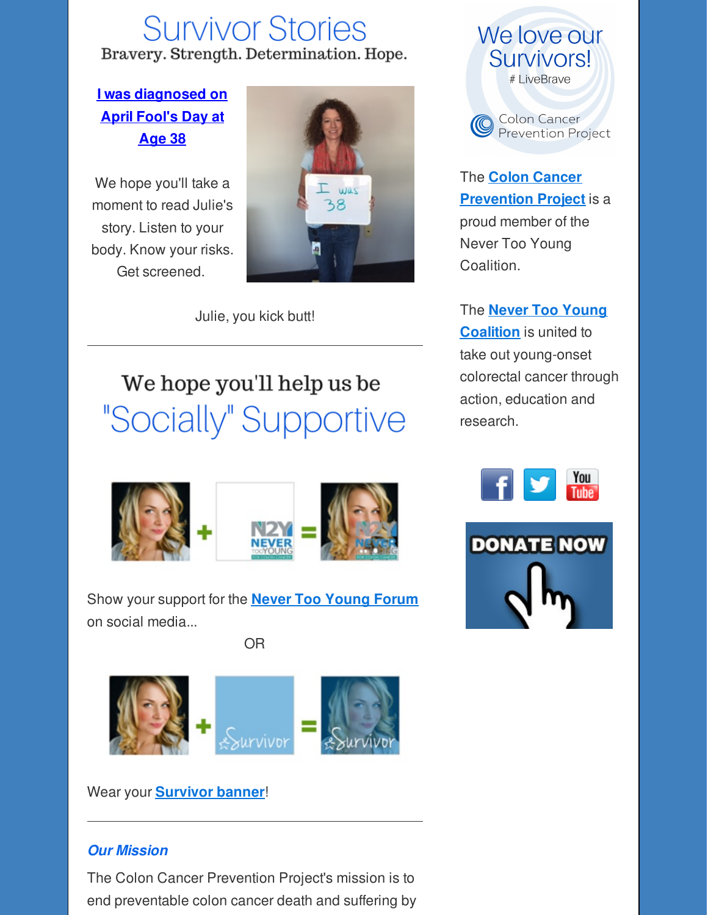## **Survivor Stories** Bravery. Strength. Determination. Hope.

#### **I was [diagnosed](http://r20.rs6.net/tn.jsp?f=001osQkGRFAGfzYU8UPs5oNiwkvfuvU25B4wvUvx5KA6UWFCJzni8UmYj9VWTXiI5j5kIaBbW3fYjSfD1sHInq5GMbRXT8cDzDWzlImWKLe_PC0HoJrNkzQZ719jkZZh_kpeDaA38ju2ny5xbpBp5zLh10IWvRqdy_zmul--5qIftfT1QEQLbqJiacbNuzBwAsD5AQLzrGoeHoYe7Tudx8eyCAJPx3aZmnjIPIWN_KEWp2punYPZTPaRFkN0yhqpv-vOAR-gEFapSaWWj2nNW4OKw==&c=&ch=) on April Fool's Day at Age 38**

We hope you'll take a moment to read Julie's story. Listen to your body. Know your risks. Get screened.



Julie, you kick butt!

We hope you'll help us be "Socially" Supportive



Show your support for the **Never Too [Young](http://r20.rs6.net/tn.jsp?f=001osQkGRFAGfzYU8UPs5oNiwkvfuvU25B4wvUvx5KA6UWFCJzni8UmYuZsBBZ9o0D7vxDmy0hT3ElUMH_4RYtZXtCt8Xwim_Fe3BBsyvi0ToC84naERiENrQmytD5dPdQzby7JxtYmwxI2i3flb41lo8KA7D9RpwxrgMD9C7pbjY3FkrgZkdbSyPSRxHZnV_iXrAUiU2sjVx4=&c=&ch=) Forum** on social media...

OR



Wear your **[Survivor](http://r20.rs6.net/tn.jsp?f=001osQkGRFAGfzYU8UPs5oNiwkvfuvU25B4wvUvx5KA6UWFCJzni8UmYuZsBBZ9o0D7-5fS6eQ9Nl-kasHKuNrguUa_jkxCI_BTugeL_Hiw7qB_DKMeZ1GAwRSAb3dwXvpw24lNjfOVXiv9Zq9jJjAd0Ud7LtH6m7bw44IyZv9ehTx33_u9jgihgXFYWT-DMmGEmtY1tmi6BQU=&c=&ch=) banner**!

#### *Our Mission*

The Colon Cancer Prevention Project's mission is to end preventable colon cancer death and suffering by





The **Colon Cancer [Prevention](http://r20.rs6.net/tn.jsp?f=001osQkGRFAGfzYU8UPs5oNiwkvfuvU25B4wvUvx5KA6UWFCJzni8UmYiCkwPS593JzOru_ZytUo7I-rHWi2ql79uKSGV5qypdejA5BOCyYC1PaWJ27nxfUGdH_XFo-LJVus_wLVHzNotEgX5MNr3l3PS9LxUP2YuFmKHxiF01uhOVWnNMyS42W9LO1dfkz1Jme&c=&ch=) Project** is a proud member of the Never Too Young Coalition.

The **Never Too Young [Coalition](http://r20.rs6.net/tn.jsp?f=001osQkGRFAGfzYU8UPs5oNiwkvfuvU25B4wvUvx5KA6UWFCJzni8UmYuZsBBZ9o0D7FX5PW7asKzglIilQhC0nOS7VSrlpEZMcwYP5oPQJ4b9tRclWL0wy3WSOd-oWvFUCU1U_Kg9z4F8RM-7NZc6wUcf28y1R5A4ZRO_MCnjq_qg=&c=&ch=)** is united to take out young-onset colorectal cancer through action, education and research.